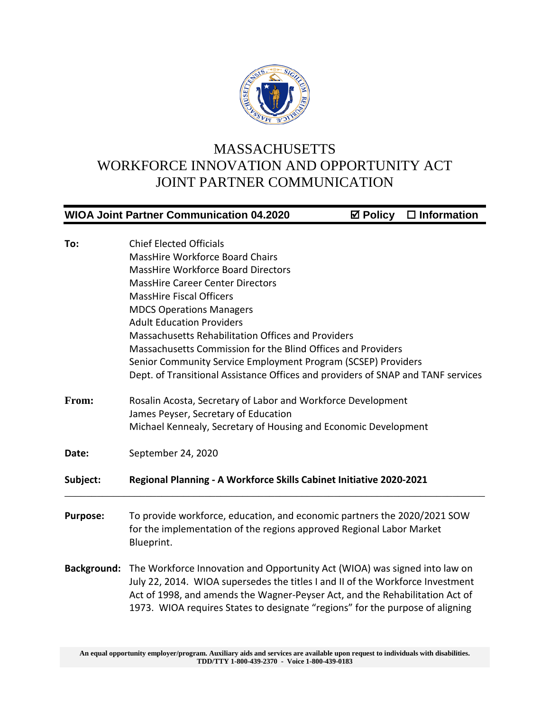

## MASSACHUSETTS WORKFORCE INNOVATION AND OPPORTUNITY ACT JOINT PARTNER COMMUNICATION

|                                               | $\boxtimes$ Policy $\Box$ Information<br><b>WIOA Joint Partner Communication 04.2020</b> |
|-----------------------------------------------|------------------------------------------------------------------------------------------|
|                                               |                                                                                          |
| To:                                           | <b>Chief Elected Officials</b>                                                           |
|                                               | <b>MassHire Workforce Board Chairs</b>                                                   |
|                                               | <b>MassHire Workforce Board Directors</b>                                                |
|                                               | <b>MassHire Career Center Directors</b>                                                  |
|                                               | <b>MassHire Fiscal Officers</b>                                                          |
|                                               | <b>MDCS Operations Managers</b>                                                          |
|                                               | <b>Adult Education Providers</b>                                                         |
| From:<br>Date:<br>Subject:<br><b>Purpose:</b> | Massachusetts Rehabilitation Offices and Providers                                       |
|                                               | Massachusetts Commission for the Blind Offices and Providers                             |
|                                               | Senior Community Service Employment Program (SCSEP) Providers                            |
|                                               | Dept. of Transitional Assistance Offices and providers of SNAP and TANF services         |
|                                               | Rosalin Acosta, Secretary of Labor and Workforce Development                             |
|                                               | James Peyser, Secretary of Education                                                     |
|                                               | Michael Kennealy, Secretary of Housing and Economic Development                          |
|                                               | September 24, 2020                                                                       |
|                                               | Regional Planning - A Workforce Skills Cabinet Initiative 2020-2021                      |
|                                               | To provide workforce, education, and economic partners the 2020/2021 SOW                 |
|                                               | for the implementation of the regions approved Regional Labor Market<br>Blueprint.       |
| <b>Background:</b>                            | The Workforce Innovation and Opportunity Act (WIOA) was signed into law on               |
|                                               | July 22, 2014. WIOA supersedes the titles I and II of the Workforce Investment           |
|                                               | Act of 1998, and amends the Wagner-Peyser Act, and the Rehabilitation Act of             |
|                                               | 1973. WIOA requires States to designate "regions" for the purpose of aligning            |

**An equal opportunity employer/program. Auxiliary aids and services are available upon request to individuals with disabilities. TDD/TTY 1-800-439-2370 - Voice 1-800-439-0183**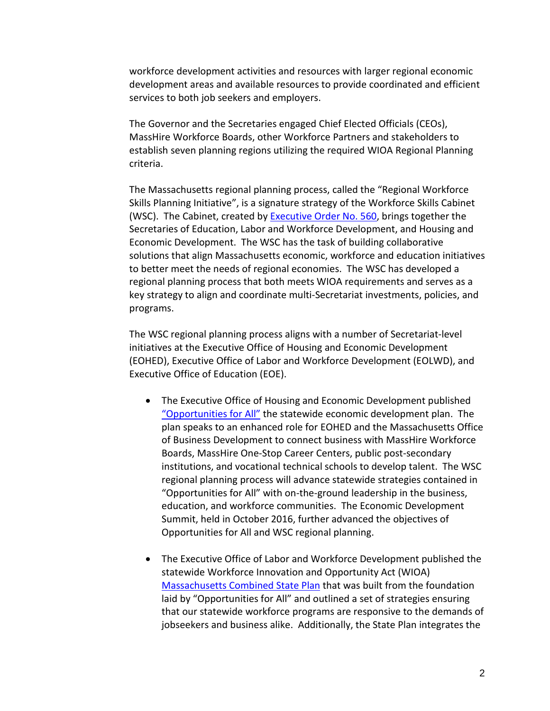workforce development activities and resources with larger regional economic development areas and available resources to provide coordinated and efficient services to both job seekers and employers.

The Governor and the Secretaries engaged Chief Elected Officials (CEOs), MassHire Workforce Boards, other Workforce Partners and stakeholders to establish seven planning regions utilizing the required WIOA Regional Planning criteria.

The Massachusetts regional planning process, called the "Regional Workforce Skills Planning Initiative", is a signature strategy of the Workforce Skills Cabinet (WSC). The Cabinet, created by **Executive Order No. 560**, brings together the Secretaries of Education, Labor and Workforce Development, and Housing and Economic Development. The WSC has the task of building collaborative solutions that align Massachusetts economic, workforce and education initiatives to better meet the needs of regional economies. The WSC has developed a regional planning process that both meets WIOA requirements and serves as a key strategy to align and coordinate multi-Secretariat investments, policies, and programs.

The WSC regional planning process aligns with a number of Secretariat-level initiatives at the Executive Office of Housing and Economic Development (EOHED), Executive Office of Labor and Workforce Development (EOLWD), and Executive Office of Education (EOE).

- The Executive Office of Housing and Economic Development published ["Opportunities for All"](http://www.mass.gov/governor/legislationexecorder/legislation/an-act-to-provide-opportunities-for-all.html) the statewide economic development plan. The plan speaks to an enhanced role for EOHED and the Massachusetts Office of Business Development to connect business with MassHire Workforce Boards, MassHire One-Stop Career Centers, public post-secondary institutions, and vocational technical schools to develop talent. The WSC regional planning process will advance statewide strategies contained in "Opportunities for All" with on-the-ground leadership in the business, education, and workforce communities. The Economic Development Summit, held in October 2016, further advanced the objectives of Opportunities for All and WSC regional planning.
- The Executive Office of Labor and Workforce Development published the statewide Workforce Innovation and Opportunity Act (WIOA) [Massachusetts Combined State Plan](http://www.mass.gov/massworkforce/state-plan/wioa-2020/ma-wioa-state-plan-final-4-7-16.pdf) that was built from the foundation laid by "Opportunities for All" and outlined a set of strategies ensuring that our statewide workforce programs are responsive to the demands of jobseekers and business alike. Additionally, the State Plan integrates the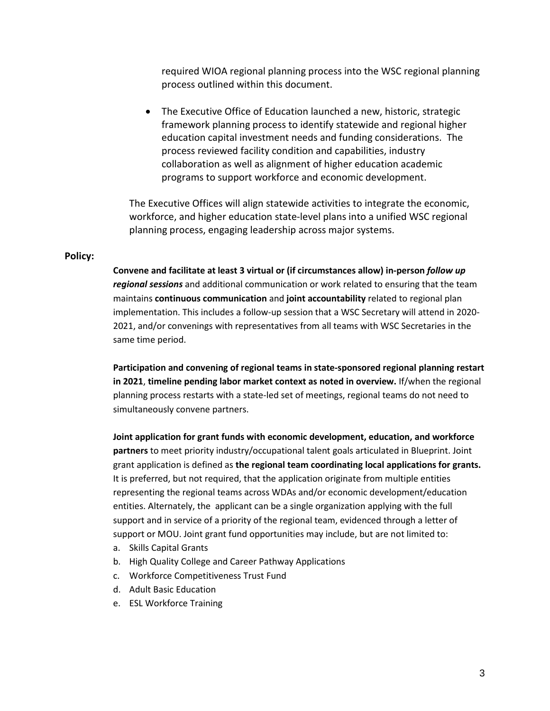required WIOA regional planning process into the WSC regional planning process outlined within this document.

• The Executive Office of Education launched a new, historic, strategic framework planning process to identify statewide and regional higher education capital investment needs and funding considerations. The process reviewed facility condition and capabilities, industry collaboration as well as alignment of higher education academic programs to support workforce and economic development.

The Executive Offices will align statewide activities to integrate the economic, workforce, and higher education state-level plans into a unified WSC regional planning process, engaging leadership across major systems.

## **Policy:**

**Convene and facilitate at least 3 virtual or (if circumstances allow) in-person** *follow up regional sessions* and additional communication or work related to ensuring that the team maintains **continuous communication** and **joint accountability** related to regional plan implementation. This includes a follow-up session that a WSC Secretary will attend in 2020- 2021, and/or convenings with representatives from all teams with WSC Secretaries in the same time period.

**Participation and convening of regional teams in state-sponsored regional planning restart in 2021**, **timeline pending labor market context as noted in overview.** If/when the regional planning process restarts with a state-led set of meetings, regional teams do not need to simultaneously convene partners.

**Joint application for grant funds with economic development, education, and workforce partners** to meet priority industry/occupational talent goals articulated in Blueprint. Joint grant application is defined as **the regional team coordinating local applications for grants.**  It is preferred, but not required, that the application originate from multiple entities representing the regional teams across WDAs and/or economic development/education entities. Alternately, the applicant can be a single organization applying with the full support and in service of a priority of the regional team, evidenced through a letter of support or MOU. Joint grant fund opportunities may include, but are not limited to:

- a. Skills Capital Grants
- b. High Quality College and Career Pathway Applications
- c. Workforce Competitiveness Trust Fund
- d. Adult Basic Education
- e. ESL Workforce Training